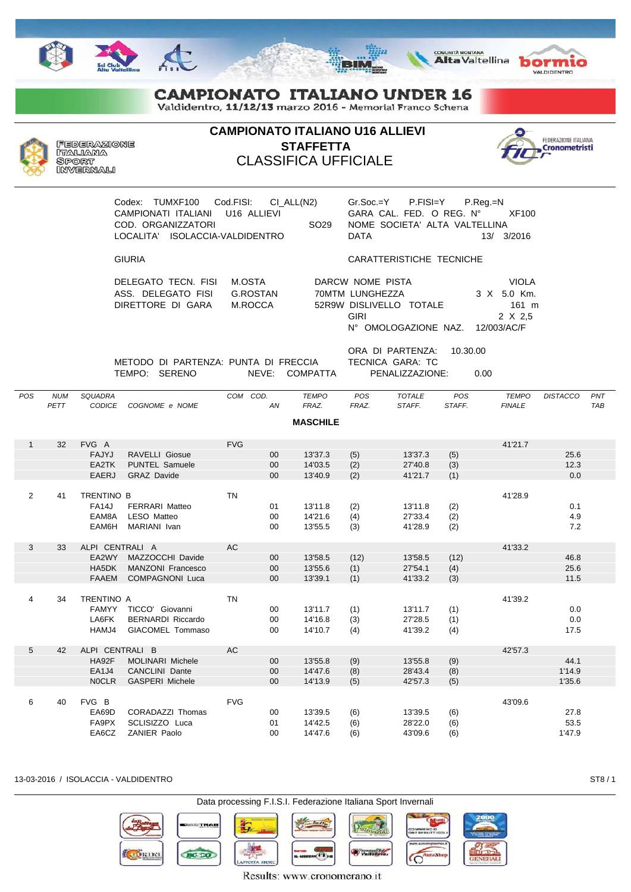

Valdidentro, 11/12/13 marzo 2016 - Memorial Franco Schena



**CAMPIONATO ITALIANO U16 ALLIEVI STAFFETTA** CLASSIFICA UFFICIALE



VALDIDENTRO

**COMUNITÀ MONTANA**<br>Alta Valtellina **bormio** 

| Codex: TUMXF100 Cod.FISI: CI ALL(N2)<br>CAMPIONATI ITALIANI U16 ALLIEVI<br>COD. ORGANIZZATORI<br>ISOLACCIA-VALDIDENTRO<br>LOCALITA' |                               | SO <sub>29</sub><br><b>DATA</b>                                                                | $Gr.Soc = Y$ P.FISI=Y P.Req.=N<br>GARA CAL. FED. O REG. N°<br>NOME SOCIETA' ALTA VALTELLINA<br>13/ | XF100<br>3/2016                          |
|-------------------------------------------------------------------------------------------------------------------------------------|-------------------------------|------------------------------------------------------------------------------------------------|----------------------------------------------------------------------------------------------------|------------------------------------------|
| <b>GIURIA</b>                                                                                                                       |                               |                                                                                                | CARATTERISTICHE TECNICHE                                                                           |                                          |
| DELEGATO TECN. FISI<br>ASS. DELEGATO FISI<br>DIRETTORE DI GARA                                                                      | M.OSTA<br>G.ROSTAN<br>M.ROCCA | DARCW NOME PISTA<br>70MTM LUNGHEZZA<br>52R9W DISLIVELLO TOTALE<br>GIRI<br>N° OMOLOGAZIONE NAZ. | 12/003/AC/F                                                                                        | VIOLA<br>3 X 5.0 Km.<br>161 m<br>2 X 2.5 |
| METODO DI PARTENZA: PHNTA DI ERECCIA                                                                                                |                               | ORA DI PARTENZA:<br>TECNICA GARA TC                                                            | 10.30.00                                                                                           |                                          |

METODO DI PARTENZA: PUNTA DI FRECCIA TECNICA GARA: TC TEMPO: SERENO NEVE: COMPATTA PENALIZZAZIONE: 0.00

| POS            | <b>NUM</b><br>PETT | SQUADRA           | COGNOME e NOME           | COM COD.   |        | <b>TEMPO</b><br>FRAZ. | POS   | <b>TOTALE</b><br>STAFF. | POS<br>STAFF. | <b>TEMPO</b>  | <b>DISTACCO</b> | PNT<br><b>TAB</b> |
|----------------|--------------------|-------------------|--------------------------|------------|--------|-----------------------|-------|-------------------------|---------------|---------------|-----------------|-------------------|
|                |                    | <b>CODICE</b>     |                          |            | AN     |                       | FRAZ. |                         |               | <b>FINALE</b> |                 |                   |
|                |                    |                   |                          |            |        | <b>MASCHILE</b>       |       |                         |               |               |                 |                   |
|                |                    |                   |                          |            |        |                       |       |                         |               |               |                 |                   |
| $\mathbf{1}$   | 32                 | FVG A             |                          | <b>FVG</b> |        |                       |       |                         |               | 41'21.7       |                 |                   |
|                |                    | <b>FAJYJ</b>      | <b>RAVELLI Giosue</b>    |            | 00     | 13'37.3               | (5)   | 13'37.3                 | (5)           |               | 25.6            |                   |
|                |                    | EA2TK             | <b>PUNTEL Samuele</b>    |            | 00     | 14'03.5               | (2)   | 27'40.8                 | (3)           |               | 12.3            |                   |
|                |                    | <b>EAERJ</b>      | <b>GRAZ Davide</b>       |            | 00     | 13'40.9               | (2)   | 41'21.7                 | (1)           |               | 0.0             |                   |
|                |                    |                   |                          |            |        |                       |       |                         |               |               |                 |                   |
| $\overline{2}$ | 41                 | TRENTINO B        |                          | <b>TN</b>  |        |                       |       |                         |               | 41'28.9       |                 |                   |
|                |                    | <b>FA14J</b>      | <b>FERRARI Matteo</b>    |            | 01     | 13'11.8               | (2)   | 13'11.8                 | (2)           |               | 0.1             |                   |
|                |                    | EAM8A             | <b>LESO Matteo</b>       |            | 00     | 14'21.6               | (4)   | 27'33.4                 | (2)           |               | 4.9             |                   |
|                |                    | EAM6H             | MARIANI Ivan             |            | 00     | 13'55.5               | (3)   | 41'28.9                 | (2)           |               | 7.2             |                   |
|                |                    |                   |                          |            |        |                       |       |                         |               |               |                 |                   |
| 3              | 33                 | ALPI CENTRALI A   |                          | <b>AC</b>  |        |                       |       |                         |               | 41'33.2       |                 |                   |
|                |                    | EA2WY             | MAZZOCCHI Davide         |            | 00     | 13'58.5               | (12)  | 13'58.5                 | (12)          |               | 46.8            |                   |
|                |                    | HA5DK             | <b>MANZONI Francesco</b> |            | 00     | 13'55.6               | (1)   | 27'54.1                 | (4)           |               | 25.6            |                   |
|                |                    | <b>FAAEM</b>      | <b>COMPAGNONI Luca</b>   |            | $00\,$ | 13'39.1               | (1)   | 41'33.2                 | (3)           |               | 11.5            |                   |
|                |                    |                   |                          |            |        |                       |       |                         |               |               |                 |                   |
| $\overline{4}$ | 34                 | <b>TRENTINO A</b> |                          | <b>TN</b>  |        |                       |       |                         |               | 41'39.2       |                 |                   |
|                |                    | <b>FAMYY</b>      | TICCO' Giovanni          |            | 00     | 13'11.7               | (1)   | 13'11.7                 | (1)           |               | 0.0             |                   |
|                |                    | LA6FK             | <b>BERNARDI Riccardo</b> |            | 00     | 14'16.8               | (3)   | 27'28.5                 | (1)           |               | 0.0             |                   |
|                |                    | HAMJ4             | GIACOMEL Tommaso         |            | 00     | 14'10.7               | (4)   | 41'39.2                 | (4)           |               | 17.5            |                   |
|                |                    |                   |                          |            |        |                       |       |                         |               |               |                 |                   |
| 5              | 42                 | ALPI CENTRALI B   |                          | AC         |        |                       |       |                         |               | 42'57.3       |                 |                   |
|                |                    | HA92F             | <b>MOLINARI Michele</b>  |            | 00     | 13'55.8               | (9)   | 13'55.8                 | (9)           |               | 44.1            |                   |
|                |                    | EA1J4             | <b>CANCLINI Dante</b>    |            | 00     | 14'47.6               | (8)   | 28'43.4                 | (8)           |               | 1'14.9          |                   |
|                |                    | <b>NOCLR</b>      | <b>GASPERI Michele</b>   |            | 00     | 14'13.9               | (5)   | 42'57.3                 | (5)           |               | 1'35.6          |                   |
|                |                    |                   |                          |            |        |                       |       |                         |               |               |                 |                   |
| 6              | 40                 | FVG B             |                          | <b>FVG</b> |        |                       |       |                         |               | 43'09.6       |                 |                   |
|                |                    | EA69D             | CORADAZZI Thomas         |            | 00     | 13'39.5               | (6)   | 13'39.5                 | (6)           |               | 27.8            |                   |
|                |                    | FA9PX             | SCLISIZZO Luca           |            | 01     | 14'42.5               | (6)   | 28'22.0                 | (6)           |               | 53.5            |                   |
|                |                    | EA6CZ             | <b>ZANIER Paolo</b>      |            | 00     | 14'47.6               | (6)   | 43'09.6                 | (6)           |               | 1'47.9          |                   |
|                |                    |                   |                          |            |        |                       |       |                         |               |               |                 |                   |

13-03-2016 / ISOLACCIA - VALDIDENTRO ST8 / 1



Results: www.cronomerano.it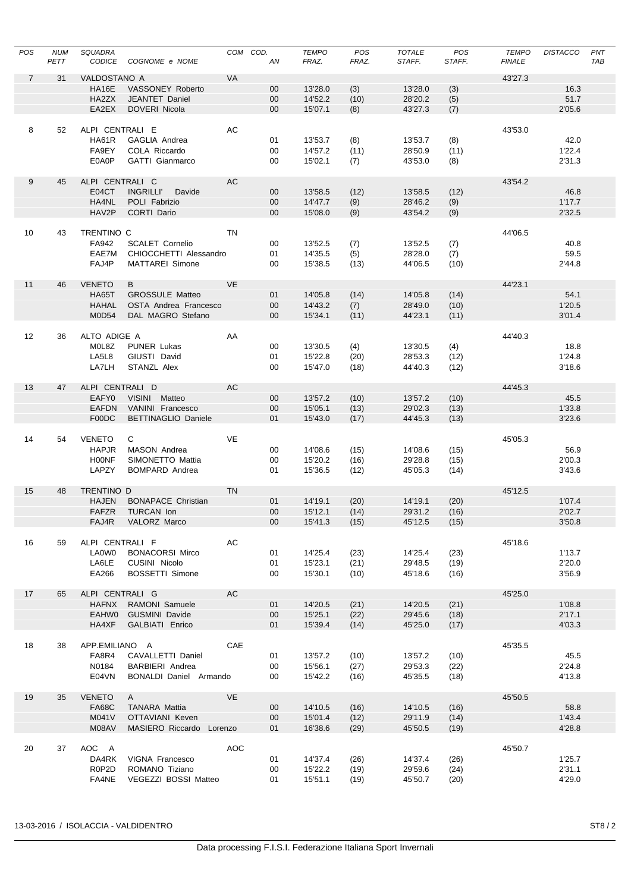| POS            | <b>NUM</b><br>PETT | <b>SQUADRA</b><br><b>CODICE</b> | COGNOME e NOME                              | COM COD.  | AN              | <b>TEMPO</b><br>FRAZ. | POS<br>FRAZ. | <b>TOTALE</b><br>STAFF. | POS<br>STAFF. | <b>TEMPO</b><br><b>FINALE</b> | <b>DISTACCO</b>  | PNT<br><b>TAB</b> |
|----------------|--------------------|---------------------------------|---------------------------------------------|-----------|-----------------|-----------------------|--------------|-------------------------|---------------|-------------------------------|------------------|-------------------|
| $\overline{7}$ | 31                 | VALDOSTANO A                    |                                             | VA        |                 |                       |              |                         |               | 43'27.3                       |                  |                   |
|                |                    | <b>HA16E</b>                    | VASSONEY Roberto                            |           | $00\,$          | 13'28.0               | (3)          | 13'28.0                 | (3)           |                               | 16.3             |                   |
|                |                    | HA2ZX                           | <b>JEANTET Daniel</b>                       |           | $00\,$          | 14'52.2               | (10)         | 28'20.2                 | (5)           |                               | 51.7             |                   |
|                |                    | EA2EX                           | <b>DOVERI Nicola</b>                        |           | $00\,$          | 15'07.1               | (8)          | 43'27.3                 | (7)           |                               | 2'05.6           |                   |
|                |                    |                                 |                                             |           |                 |                       |              |                         |               |                               |                  |                   |
| 8              | 52                 | ALPI CENTRALI E                 |                                             | AC        |                 |                       |              |                         |               | 43'53.0                       |                  |                   |
|                |                    | <b>HA61R</b>                    | GAGLIA Andrea                               |           | 01              | 13'53.7               | (8)          | 13'53.7                 | (8)           |                               | 42.0             |                   |
|                |                    | FA9EY                           | COLA Riccardo                               |           | 00              | 14'57.2               | (11)         | 28'50.9                 | (11)          |                               | 1'22.4           |                   |
|                |                    | E0A0P                           | GATTI Gianmarco                             |           | 00              | 15'02.1               | (7)          | 43'53.0                 | (8)           |                               | 2'31.3           |                   |
| 9              | 45                 | ALPI CENTRALI C                 |                                             | AC        |                 |                       |              |                         |               | 43'54.2                       |                  |                   |
|                |                    | E04CT                           | <b>INGRILLI'</b><br>Davide                  |           | 00              | 13'58.5               | (12)         | 13'58.5                 | (12)          |                               | 46.8             |                   |
|                |                    | HA4NL                           | POLI Fabrizio                               |           | $00\,$          | 14'47.7               | (9)          | 28'46.2                 | (9)           |                               | 1'17.7           |                   |
|                |                    | HAV2P                           | CORTI Dario                                 |           | $00\,$          | 15'08.0               | (9)          | 43'54.2                 | (9)           |                               | 2'32.5           |                   |
|                |                    |                                 |                                             |           |                 |                       |              |                         |               |                               |                  |                   |
| 10             | 43                 | TRENTINO C                      |                                             | TN        |                 |                       |              |                         |               | 44'06.5                       |                  |                   |
|                |                    | FA942                           | <b>SCALET Cornelio</b>                      |           | 00              | 13'52.5               | (7)          | 13'52.5                 | (7)           |                               | 40.8             |                   |
|                |                    | EAE7M                           | CHIOCCHETTI Alessandro                      |           | 01              | 14'35.5               | (5)          | 28'28.0                 | (7)           |                               | 59.5             |                   |
|                |                    | FAJ4P                           | <b>MATTAREI Simone</b>                      |           | 00              | 15'38.5               | (13)         | 44'06.5                 | (10)          |                               | 2'44.8           |                   |
|                |                    |                                 |                                             |           |                 |                       |              |                         |               |                               |                  |                   |
| 11             | 46                 | <b>VENETO</b>                   | B                                           | <b>VE</b> |                 |                       |              |                         |               | 44'23.1                       |                  |                   |
|                |                    | <b>HA65T</b>                    | <b>GROSSULE Matteo</b>                      |           | 01              | 14'05.8               | (14)         | 14'05.8                 | (14)          |                               | 54.1             |                   |
|                |                    | <b>HAHAL</b>                    | OSTA Andrea Francesco                       |           | $00\,$          | 14'43.2               | (7)          | 28'49.0                 | (10)          |                               | 1'20.5           |                   |
|                |                    | M0D54                           | DAL MAGRO Stefano                           |           | $00\,$          | 15'34.1               | (11)         | 44'23.1                 | (11)          |                               | 3'01.4           |                   |
|                |                    |                                 |                                             |           |                 |                       |              |                         |               |                               |                  |                   |
| 12             | 36                 | ALTO ADIGE A                    |                                             | AA        |                 |                       |              |                         |               | 44'40.3                       |                  |                   |
|                |                    | M0L8Z                           | <b>PUNER Lukas</b>                          |           | 00              | 13'30.5               | (4)          | 13'30.5                 | (4)           |                               | 18.8             |                   |
|                |                    | LA5L8<br>LA7LH                  | GIUSTI David<br>STANZL Alex                 |           | 01<br>00        | 15'22.8<br>15'47.0    | (20)<br>(18) | 28'53.3<br>44'40.3      | (12)<br>(12)  |                               | 1'24.8<br>3'18.6 |                   |
|                |                    |                                 |                                             |           |                 |                       |              |                         |               |                               |                  |                   |
| 13             | 47                 | ALPI CENTRALI D                 |                                             | AC        |                 |                       |              |                         |               | 44'45.3                       |                  |                   |
|                |                    | EAFY0                           | VISINI Matteo                               |           | $00\,$          | 13'57.2               | (10)         | 13'57.2                 | (10)          |                               | 45.5             |                   |
|                |                    | <b>EAFDN</b>                    | VANINI Francesco                            |           | 00              | 15'05.1               | (13)         | 29'02.3                 | (13)          |                               | 1'33.8           |                   |
|                |                    | F00DC                           | <b>BETTINAGLIO Daniele</b>                  |           | 01              | 15'43.0               | (17)         | 44'45.3                 | (13)          |                               | 3'23.6           |                   |
|                |                    |                                 |                                             |           |                 |                       |              |                         |               |                               |                  |                   |
| 14             | 54                 | <b>VENETO</b>                   | C                                           | VE        |                 |                       |              |                         |               | 45'05.3                       |                  |                   |
|                |                    | <b>HAPJR</b>                    | MASON Andrea                                |           | 00              | 14'08.6               | (15)         | 14'08.6                 | (15)          |                               | 56.9             |                   |
|                |                    | <b>HOONF</b>                    | SIMONETTO Mattia                            |           | 00              | 15'20.2               | (16)         | 29'28.8                 | (15)          |                               | 2'00.3           |                   |
|                |                    | LAPZY                           | <b>BOMPARD Andrea</b>                       |           | 01              | 15'36.5               | (12)         | 45'05.3                 | (14)          |                               | 3'43.6           |                   |
|                |                    |                                 |                                             |           |                 |                       |              |                         |               |                               |                  |                   |
| 15             | 48                 | TRENTINO D                      |                                             | <b>TN</b> |                 |                       |              |                         |               | 45'12.5                       |                  |                   |
|                |                    | <b>HAJEN</b>                    | <b>BONAPACE Christian</b>                   |           | 01              | 14'19.1               | (20)         | 14'19.1                 | (20)          |                               | 1'07.4           |                   |
|                |                    | <b>FAFZR</b>                    | TURCAN Ion                                  |           | $00\,$          | 15'12.1               | (14)         | 29'31.2                 | (16)          |                               | 2'02.7           |                   |
|                |                    | FAJ4R                           | VALORZ Marco                                |           | 00 <sub>o</sub> | 15'41.3               | (15)         | 45'12.5                 | (15)          |                               | 3'50.8           |                   |
| 16             | 59                 | ALPI CENTRALI F                 |                                             | AC        |                 |                       |              |                         |               | 45'18.6                       |                  |                   |
|                |                    | LA0W0                           | <b>BONACORSI Mirco</b>                      |           | 01              | 14'25.4               | (23)         | 14'25.4                 | (23)          |                               | 1'13.7           |                   |
|                |                    | LA6LE                           | CUSINI Nicolo                               |           | 01              | 15'23.1               | (21)         | 29'48.5                 | (19)          |                               | 2'20.0           |                   |
|                |                    | EA266                           | <b>BOSSETTI Simone</b>                      |           | 00              | 15'30.1               | (10)         | 45'18.6                 | (16)          |                               | 3'56.9           |                   |
|                |                    |                                 |                                             |           |                 |                       |              |                         |               |                               |                  |                   |
| 17             | 65                 | ALPI CENTRALI G                 |                                             | <b>AC</b> |                 |                       |              |                         |               | 45'25.0                       |                  |                   |
|                |                    | <b>HAFNX</b>                    | RAMONI Samuele                              |           | 01              | 14'20.5               | (21)         | 14'20.5                 | (21)          |                               | 1'08.8           |                   |
|                |                    | <b>EAHWO</b>                    | <b>GUSMINI Davide</b>                       |           | $00\,$          | 15'25.1               | (22)         | 29'45.6                 | (18)          |                               | 2'17.1           |                   |
|                |                    | HA4XF                           | GALBIATI Enrico                             |           | 01              | 15'39.4               | (14)         | 45'25.0                 | (17)          |                               | 4'03.3           |                   |
|                |                    |                                 |                                             |           |                 |                       |              |                         |               |                               |                  |                   |
| 18             | 38                 | APP.EMILIANO A                  |                                             | CAE       |                 |                       |              |                         |               | 45'35.5                       |                  |                   |
|                |                    | FA8R4<br>N0184                  | CAVALLETTI Daniel<br><b>BARBIERI</b> Andrea |           | 01              | 13'57.2<br>15'56.1    | (10)         | 13'57.2<br>29'53.3      | (10)<br>(22)  |                               | 45.5<br>2'24.8   |                   |
|                |                    | E04VN                           | BONALDI Daniel Armando                      |           | 00<br>00        | 15'42.2               | (27)<br>(16) | 45'35.5                 | (18)          |                               | 4'13.8           |                   |
|                |                    |                                 |                                             |           |                 |                       |              |                         |               |                               |                  |                   |
| 19             | 35                 | <b>VENETO</b>                   | $\mathsf{A}$                                | <b>VE</b> |                 |                       |              |                         |               | 45'50.5                       |                  |                   |
|                |                    | <b>FA68C</b>                    | <b>TANARA Mattia</b>                        |           | $00\,$          | 14'10.5               | (16)         | 14'10.5                 | (16)          |                               | 58.8             |                   |
|                |                    | M041V                           | OTTAVIANI Keven                             |           | $00\,$          | 15'01.4               | (12)         | 29'11.9                 | (14)          |                               | 1'43.4           |                   |
|                |                    | M08AV                           | MASIERO Riccardo Lorenzo                    |           | 01              | 16'38.6               | (29)         | 45'50.5                 | (19)          |                               | 4'28.8           |                   |
|                |                    |                                 |                                             |           |                 |                       |              |                         |               |                               |                  |                   |
| 20             | 37                 | AOC A                           |                                             | AOC       |                 |                       |              |                         |               | 45'50.7                       |                  |                   |
|                |                    | DA4RK                           | VIGNA Francesco                             |           | 01              | 14'37.4               | (26)         | 14'37.4                 | (26)          |                               | 1'25.7           |                   |
|                |                    | R0P2D                           | ROMANO Tiziano                              |           | 00              | 15'22.2               | (19)         | 29'59.6                 | (24)          |                               | 2'31.1           |                   |
|                |                    | FA4NE                           | VEGEZZI BOSSI Matteo                        |           | 01              | 15'51.1               | (19)         | 45'50.7                 | (20)          |                               | 4'29.0           |                   |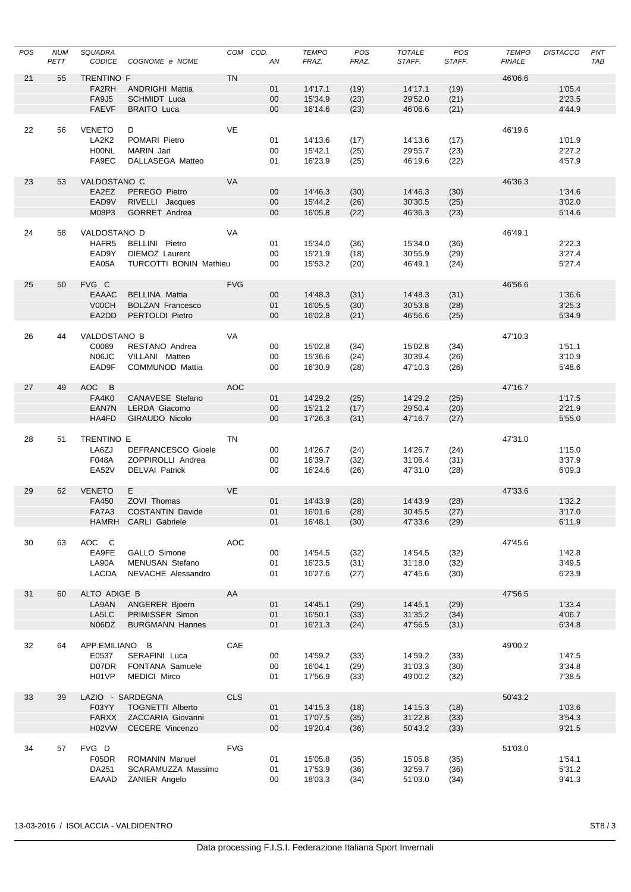| POS | <b>NUM</b><br>PETT | SQUADRA<br><b>CODICE</b> | COGNOME e NOME            | COM COD.   | AN     | <b>TEMPO</b><br>FRAZ. | POS<br>FRAZ. | <b>TOTALE</b><br>STAFF. | POS<br>STAFF. | <b>TEMPO</b><br><b>FINALE</b> | <b>DISTACCO</b> | PNT<br><b>TAB</b> |
|-----|--------------------|--------------------------|---------------------------|------------|--------|-----------------------|--------------|-------------------------|---------------|-------------------------------|-----------------|-------------------|
| 21  | 55                 | TRENTINO F               |                           | <b>TN</b>  |        |                       |              |                         |               | 46'06.6                       |                 |                   |
|     |                    | FA <sub>2RH</sub>        | <b>ANDRIGHI Mattia</b>    |            | 01     | 14'17.1               | (19)         | 14'17.1                 | (19)          |                               | 1'05.4          |                   |
|     |                    | <b>FA9J5</b>             | <b>SCHMIDT</b> Luca       |            | $00\,$ | 15'34.9               | (23)         | 29'52.0                 | (21)          |                               | 2'23.5          |                   |
|     |                    | <b>FAEVF</b>             | <b>BRAITO Luca</b>        |            | $00\,$ | 16'14.6               | (23)         | 46'06.6                 | (21)          |                               | 4'44.9          |                   |
|     |                    |                          |                           |            |        |                       |              |                         |               |                               |                 |                   |
| 22  | 56                 | <b>VENETO</b>            | D                         | VE         |        |                       |              |                         |               | 46'19.6                       |                 |                   |
|     |                    | LA2K2                    | POMARI Pietro             |            | 01     | 14'13.6               | (17)         | 14'13.6                 | (17)          |                               | 1'01.9          |                   |
|     |                    | H00NL                    | <b>MARIN</b> Jari         |            | 00     | 15'42.1               | (25)         | 29'55.7                 | (23)          |                               | 2'27.2          |                   |
|     |                    | FA9EC                    | DALLASEGA Matteo          |            | 01     | 16'23.9               | (25)         | 46'19.6                 | (22)          |                               | 4'57.9          |                   |
| 23  | 53                 | VALDOSTANO C             |                           | VA         |        |                       |              |                         |               | 46'36.3                       |                 |                   |
|     |                    | EA2EZ                    | PEREGO Pietro             |            | $00\,$ | 14'46.3               | (30)         | 14'46.3                 | (30)          |                               | 1'34.6          |                   |
|     |                    | EAD9V                    | RIVELLI Jacques           |            | $00\,$ | 15'44.2               | (26)         | 30'30.5                 | (25)          |                               | 3'02.0          |                   |
|     |                    | M08P3                    | <b>GORRET Andrea</b>      |            | $00\,$ | 16'05.8               | (22)         | 46'36.3                 | (23)          |                               | 5'14.6          |                   |
|     |                    |                          |                           |            |        |                       |              |                         |               |                               |                 |                   |
| 24  | 58                 | VALDOSTANO D             |                           | VA         |        |                       |              |                         |               | 46'49.1                       |                 |                   |
|     |                    | HAFR5                    | BELLINI Pietro            |            | 01     | 15'34.0               | (36)         | 15'34.0                 | (36)          |                               | 2'22.3          |                   |
|     |                    | EAD9Y                    | <b>DIEMOZ Laurent</b>     |            | 00     | 15'21.9               | (18)         | 30'55.9                 | (29)          |                               | 3'27.4          |                   |
|     |                    | EA05A                    | TURCOTTI BONIN Mathieu    |            | 00     | 15'53.2               | (20)         | 46'49.1                 | (24)          |                               | 5'27.4          |                   |
| 25  | 50                 | FVG C                    |                           | <b>FVG</b> |        |                       |              |                         |               | 46'56.6                       |                 |                   |
|     |                    | <b>EAAAC</b>             | <b>BELLINA Mattia</b>     |            | $00\,$ | 14'48.3               | (31)         | 14'48.3                 | (31)          |                               | 1'36.6          |                   |
|     |                    | V00CH                    | <b>BOLZAN Francesco</b>   |            | 01     | 16'05.5               | (30)         | 30'53.8                 | (28)          |                               | 3'25.3          |                   |
|     |                    | EA2DD                    | PERTOLDI Pietro           |            | $00\,$ | 16'02.8               | (21)         | 46'56.6                 | (25)          |                               | 5'34.9          |                   |
|     |                    |                          |                           |            |        |                       |              |                         |               |                               |                 |                   |
| 26  | 44                 | VALDOSTANO B             |                           | VA         |        |                       |              |                         |               | 47'10.3                       |                 |                   |
|     |                    | C0089                    | RESTANO Andrea            |            | 00     | 15'02.8               | (34)         | 15'02.8                 | (34)          |                               | 1'51.1          |                   |
|     |                    | N06JC                    | VILLANI Matteo            |            | 00     | 15'36.6               | (24)         | 30'39.4                 | (26)          |                               | 3'10.9          |                   |
|     |                    | EAD9F                    | <b>COMMUNOD Mattia</b>    |            | 00     | 16'30.9               | (28)         | 47'10.3                 | (26)          |                               | 5'48.6          |                   |
|     |                    | AOC B                    |                           | AOC        |        |                       |              |                         |               | 47'16.7                       |                 |                   |
| 27  | 49                 | FA4K0                    | CANAVESE Stefano          |            | 01     | 14'29.2               | (25)         | 14'29.2                 | (25)          |                               | 1'17.5          |                   |
|     |                    | EAN7N                    | LERDA Giacomo             |            | 00     | 15'21.2               | (17)         | 29'50.4                 | (20)          |                               | 2'21.9          |                   |
|     |                    | HA4FD                    | GIRAUDO Nicolo            |            | $00\,$ | 17'26.3               | (31)         | 47'16.7                 | (27)          |                               | 5'55.0          |                   |
|     |                    |                          |                           |            |        |                       |              |                         |               |                               |                 |                   |
| 28  | 51                 | TRENTINO E               |                           | <b>TN</b>  |        |                       |              |                         |               | 47'31.0                       |                 |                   |
|     |                    | LA6ZJ                    | <b>DEFRANCESCO Gioele</b> |            | 00     | 14'26.7               | (24)         | 14'26.7                 | (24)          |                               | 1'15.0          |                   |
|     |                    | F048A                    | ZOPPIROLLI Andrea         |            | 00     | 16'39.7               | (32)         | 31'06.4                 | (31)          |                               | 3'37.9          |                   |
|     |                    | EA52V                    | <b>DELVAI Patrick</b>     |            | 00     | 16'24.6               | (26)         | 47'31.0                 | (28)          |                               | 6'09.3          |                   |
| 29  | 62                 | <b>VENETO</b>            | E                         | <b>VE</b>  |        |                       |              |                         |               | 47'33.6                       |                 |                   |
|     |                    | FA450                    | ZOVI Thomas               |            | 01     | 14'43.9               | (28)         | 14'43.9                 | (28)          |                               | 1'32.2          |                   |
|     |                    | FA7A3                    | <b>COSTANTIN Davide</b>   |            | 01     | 16'01.6               | (28)         | 30'45.5                 | (27)          |                               | 3'17.0          |                   |
|     |                    |                          | HAMRH CARLI Gabriele      |            | 01     | 16'48.1               | (30)         | 47'33.6                 | (29)          |                               | 6'11.9          |                   |
|     |                    |                          |                           |            |        |                       |              |                         |               |                               |                 |                   |
| 30  | 63                 | AOC C                    |                           | AOC        |        |                       |              |                         |               | 47'45.6                       |                 |                   |
|     |                    | EA9FE                    | GALLO Simone              |            | 00     | 14'54.5               | (32)         | 14'54.5                 | (32)          |                               | 1'42.8          |                   |
|     |                    | LA90A                    | MENUSAN Stefano           |            | 01     | 16'23.5               | (31)         | 31'18.0                 | (32)          |                               | 3'49.5          |                   |
|     |                    | LACDA                    | NEVACHE Alessandro        |            | 01     | 16'27.6               | (27)         | 47'45.6                 | (30)          |                               | 6'23.9          |                   |
| 31  | 60                 | ALTO ADIGE B             |                           | AA         |        |                       |              |                         |               | 47'56.5                       |                 |                   |
|     |                    | LA9AN                    | ANGERER Bjoern            |            | 01     | 14'45.1               | (29)         | 14'45.1                 | (29)          |                               | 1'33.4          |                   |
|     |                    | LA5LC                    | PRIMISSER Simon           |            | 01     | 16'50.1               | (33)         | 31'35.2                 | (34)          |                               | 4'06.7          |                   |
|     |                    | N06DZ                    | <b>BURGMANN Hannes</b>    |            | 01     | 16'21.3               | (24)         | 47'56.5                 | (31)          |                               | 6'34.8          |                   |
|     |                    |                          |                           |            |        |                       |              |                         |               |                               |                 |                   |
| 32  | 64                 | APP.EMILIANO B           |                           | CAE        |        |                       |              |                         |               | 49'00.2                       |                 |                   |
|     |                    | E0537                    | SERAFINI Luca             |            | 00     | 14'59.2               | (33)         | 14'59.2                 | (33)          |                               | 1'47.5          |                   |
|     |                    | D07DR                    | FONTANA Samuele           |            | 00     | 16'04.1               | (29)         | 31'03.3                 | (30)          |                               | 3'34.8          |                   |
|     |                    | H01VP                    | MEDICI Mirco              |            | 01     | 17'56.9               | (33)         | 49'00.2                 | (32)          |                               | 7'38.5          |                   |
| 33  | 39                 | LAZIO - SARDEGNA         |                           | <b>CLS</b> |        |                       |              |                         |               | 50'43.2                       |                 |                   |
|     |                    | F03YY                    | <b>TOGNETTI Alberto</b>   |            | 01     | 14'15.3               | (18)         | 14'15.3                 | (18)          |                               | 1'03.6          |                   |
|     |                    | <b>FARXX</b>             | ZACCARIA Giovanni         |            | 01     | 17'07.5               | (35)         | 31'22.8                 | (33)          |                               | 3'54.3          |                   |
|     |                    | H02VW                    | CECERE Vincenzo           |            | $00\,$ | 19'20.4               | (36)         | 50'43.2                 | (33)          |                               | 9'21.5          |                   |
|     |                    |                          |                           |            |        |                       |              |                         |               |                               |                 |                   |
| 34  | 57                 | FVG D                    |                           | <b>FVG</b> |        |                       |              |                         |               | 51'03.0                       |                 |                   |
|     |                    | F05DR                    | ROMANIN Manuel            |            | 01     | 15'05.8               | (35)         | 15'05.8                 | (35)          |                               | 1'54.1          |                   |
|     |                    | DA251                    | SCARAMUZZA Massimo        |            | 01     | 17'53.9               | (36)         | 32'59.7                 | (36)          |                               | 5'31.2          |                   |
|     |                    | EAAAD                    | ZANIER Angelo             |            | 00     | 18'03.3               | (34)         | 51'03.0                 | (34)          |                               | 9'41.3          |                   |